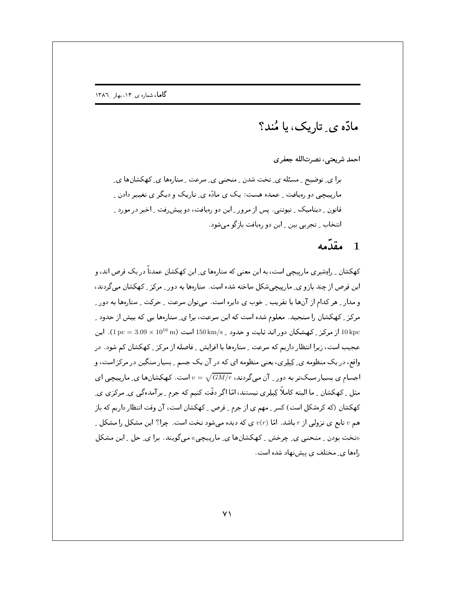ماڏه ي تاريک، يا مُنڊ؟

احمد شريعتي، نصرتالله جعفري

برا ی ِ توضیح ِ ِ مسئله ی ِ تخت شدن ِ منحنی ی ِ سرعت ِ ستارهها ی ِ کهکشانها ی ِ ماریپیچی دو رهپافت ِ عمده هست: یک ی مادّه ی ِ تاریک و دیگر ی تغییر دادن ِ قانون ِ دینامیک ِ نیوتنی ِ پس از مرور ِ این دو رویافت، دو پیش رفت ِ اخیر در مورد ِ انتخاب ٍ تجربي بين ٍ اين دو رميافت بازگو مي شود.

## 1 مقدّمه

کهکشان ِ راوِشیری مارپیچی است، به این معنی که ستارهها ی ِ این کهکشان عمدتاً در یک قرص اند، و این قرص از چند بازو ی ِ مارپیچیشکل ساخته شده است. ستارهها به دور ِ مرکز ِ کهکشان می گردند، و مدار ِ هر کدام از آنها با تقریب ِ خوب ی دایره است. می توان سرعت ِ حرکت ِ ستارهها به دور ِ مرکز کی کھکشان را سنجید. معلوم شده است که این سرعت، برا ی ِ ستارهها یی که بیش از حدود ک 10 kpc از مرکز \_ کهشکان دور اند ثابت و حدود \_ 150 km/s است (1016 × 3.09 × 101). اين عجیب است، زیرا انتظار داریم که سرعت ِ ستارهها با افزایش ِ فاصله از مرکز ِ کهکشان کم شود. در واقع، در یک منظومه ی ِ کِیلِری، یعنی منظومه ای که در آن یک جسم ِ بسیار سنگین در مرکز است، و اجسام ی بسیار سبکتر به دور <sub>-</sub> آن میگردند،  $\sqrt{GM/r}$  =  $v$  است. کهکشانها ی ِ مارییچی ای مثل \_ کھکشان \_ ما البته کاملاً کِیلِری نیستند، امّا اگر دقّت کنیم که جرم \_ برآمدهگی ی ِ مرکزی ی ِ کهکشان (که کرهشکل است) کسر ِ مهم ی از جرم ِ قرص ِ کهکشان است، آن وقت انتظار داریم که باز هم v تابع ی نزولی از r باشد. امّا  $v(r)$  ی که دیده میشود تخت است. چرا؟ این مشکل را مشکل ِ ((تخت بودن \_ منحنى ي\_ چرخش \_ كهكشانها ي\_ مارييچي)) مي گويند. برا ي\_ حل \_ اين مشكل . امها ی مختلف ی پیش نهاد شده است.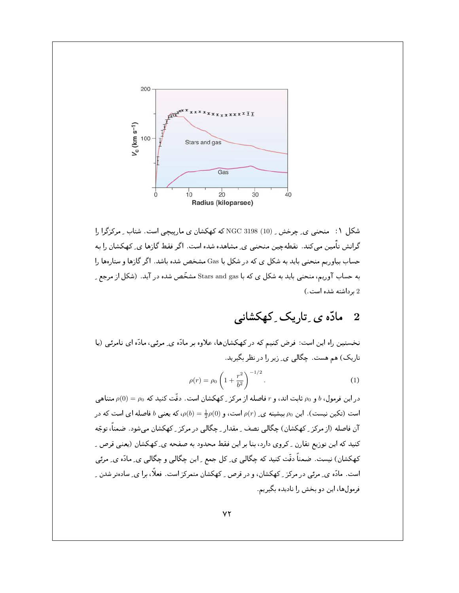

شکل ۱: منحنی ی ِ چرخش ِ (10) NGC 3198 که کهکشان ی مارییچی است. شتاب ِ مرکزگرا را گرانش تأمین میکند. نقطهچین منحنی ی ِ مشاهده شده است. اگر فقط گازها ی ِ کهکشان را به حساب بیاوریم منحنی باید به شکل ی که در شکل با Gas مشخص شده باشد. اگر گازها و ستارهها را به حساب آوریم، منحنبی باید به شکل ی که با Stars and gas مشخّص شده در آید. (شکل از مرجع ِ 2 برداشته شده است.)

#### مادّہ ی ِ تاریک ِ کھکشانے ِ  $\overline{2}$

نخستین راه این است: فرض کنیم که در کهکشانها، علاوه بر مادّه ی ِ مرئی، مادّه ای نامرئی (یا تاریک) هم هست. چگالی ی ِ زیر را در نظر بگیرید.

$$
\rho(r) = \rho_0 \left( 1 + \frac{r^2}{b^2} \right)^{-1/2}.
$$
\n(1)

 $\rho_0$  در این فرمول،  $b$  و  $\rho_0$  ثابت اند، و r فاصله از مرکز <sub>ب</sub>ے کھکشان است. دقّت کنید که  $\rho_0 = \rho_0$  متناهی است (تکین نیست). این  $\rho_0$  بیشینه ی  $\rho(r)$  است، و  $\rho(0)=\frac{1}{2}\rho(0)$ ، که یعنی  $b$  فاصله ای است که در آن فاصله (از مرکز \_ کهکشان) چگالی نصف \_ مقدار \_ چگالی در مرکز \_ کهکشان می شود. ضمناً، توجّه کنید که این توزیع تقارن <sub>-</sub> کروی دارد، بنا بر این فقط محدود به صفحه ی ِ کهکشان (یعنی قرص ِ ِ کهکشان) نیست. ضمناً دقّت کنید که چگالی ی ِ کل جمع ِ این چگالی و چگالی ی ِ مادّه ی ِ مرئی است. مادّه ی ِ مرئی در مرکز ِ کهکشان، و در قرص ِ کهکشان متمرکز است. فعلاً، برا ی ِ سادهتر شدن ِ ِ فرمول ها، این دو بخش را نادیده بگیریم.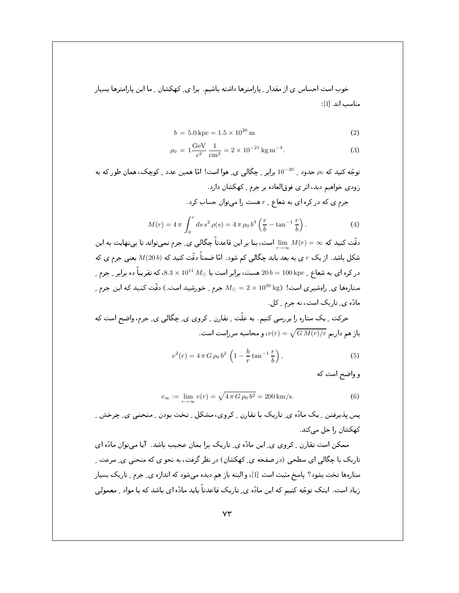خوب است احساس ی از مقدار ِ پارامترها داشته باشیم. برا ی ِ کهکشان ِ ما این پارامترها بسیار مناسب اند [1]:

$$
b = 5.0 \,\text{kpc} = 1.5 \times 10^{20} \,\text{m} \tag{2}
$$

$$
\rho_0 = 1 \frac{\text{GeV}}{c^2} \frac{1}{\text{cm}^2} = 2 \times 10^{-21} \text{kg m}^{-3}.
$$
 (3)

توجّه کنید که  $\rho_0$  حدود <sub>-</sub> 10<sup>-20</sup> برابر <sub>-</sub> چگالی ی ِ هوا است! امّا همین عدد <sub>-</sub> کوچک، همان طور که به زودي خواهيم ديد، اثر ي فوقالعاده بر جرم \_ كهكشان دارد. جرم ی که در کره ای به شعاع ـ r هست را میتوان حساب کرد.

$$
M(r) = 4\pi \int_0^r ds \, s^2 \, \rho(s) = 4\pi \, \rho_0 \, b^3 \left(\frac{r}{b} - \tan^{-1} \frac{r}{b}\right). \tag{4}
$$

دقّت کنید که $\dim\ M(r)=\lim\ \inf\limits_{\mathbb R^n}$  است، بنا بر این قاعدتاً چگالی ی ِ جرم نمیتواند تا بینهایت به این شکل باشد. ازیک  $r$  ی به بعد باید چگالی کم شود. امّا ضمناً دقّت کنید که  $M(20\,b)$  یعنی جرم ی که در کره ای به شعاع \_ 100 kpc هست، برابر است با  $M_{\odot}\times 10^{11}$  ، 8.3 که تقریباً ده برابر \_ جرم \_ ستارهها ی ِ راوِشیری است!  $M_\odot = 2 \times 10^{30} \, {\rm kg}$  جرم ِ خورشید است.) دقّت کنید که این جرم ِ مادّہ ی تاریک است، نه جرم کل.

حرکت ِ یک ستارہ را بررسی کنیم. به علّت ِ تقارن ِ کروی ی ِ چگالی ی ِ جرم، واضح است که باز هم داریم  $\sqrt{G\,M(r)/r}=\sqrt{G\,M(r)}/r$ ، و محاسبه سر راست است.

$$
v^{2}(r) = 4 \pi G \rho_{0} b^{2} \left( 1 - \frac{b}{r} \tan^{-1} \frac{r}{b} \right),
$$
 (5)

و واضح است که

$$
v_{\infty} := \lim_{r \to \infty} v(r) = \sqrt{4 \pi G \rho_0 b^2} = 200 \,\text{km/s}.
$$
 (6)

یس پذیرفتن ِ پک مادّہ ی ِ تاریک با تقارن ِ کروی، مشکل ِ تخت بودن ِ منحنی ی ِ چرخش ِ کھکشان را حل مے کند.

ممکن است تقارن <sub>-</sub> کروی ی ِ این مادّه ی ِ تاریک برا یمان عجیب باشد. آیا میتوان مادّه ای تاریک با چگالی ای سطحی (در صفحه ی ِ کهکشان) در نظر گرفت، به نحو ی که منحنی ی ِ سرعت ِ ستارهها تخت بشود؟ پاسخ مثبت است [1]، و البته باز هم دیده میشود که اندازه ی ِ جرم ِ تاریک بسیار زیاد است. اینک توجّه کنیم که این مادّه ی ِ تاریک قاعدتاً باید مادّه ای باشد که با مواد ِ معمولی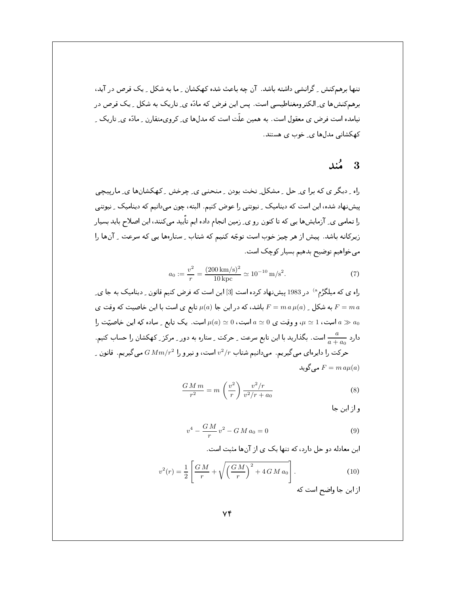تنها برهمکنش ِ گرانشی داشته باشد. آن چه باعث شده کهکشان ِ ما به شکل ِ یک قرص در آید، برهمکنشها ی ِالکترومغناطیسی است. پس این فرض که مادّه ی ِ تاریک به شکل ِ یک قرص در نیامده است فرض ی معقول است. به همین علّت است که مدلها ی ِ کرویمتقارن ِ مادّه ی ِ تاریک ِ کهکشانی مدلها ی ِ خوب ی هستند.

#### 3 مُند

راه ِ دیگر ی که برا ی ِ حل ِ مشکل ِ تخت بودن ِ منحنی ی ِ چرخش ِ کهکشانها ی ِ ماریبچی پیشنهاد شده، این است که دینامیک ِ نیوتنی را عوض کنیم. البته، چون میدانیم که دینامیک ِ نیوتنی را تمامی ی ِ آزمایشها یی که تا کنون رو ی ِ زمین انجام داده ایم تاّیید میکنند، این اصلاح باید بسیار زیرکانه باشد. پیش از هر چیز خوب است توجّه کنیم که شتاب ِ ستارهها یی که سرعت ِ آنها را میخواهیم توضیح بدهیم بسیار کوچک است.

$$
a_0 := \frac{v^2}{r} = \frac{(200 \text{ km/s})^2}{10 \text{ kpc}} \simeq 10^{-10} \text{ m/s}^2. \tag{7}
$$

راه ی که میلگرُم<sup>ه)</sup> در 1983 پیشنهاد کرده است [3] این است که فرض کنیم قانون <sub>-</sub> دینامیک به جا ی ِ به شکل  $\mu(a)$  به شکل وقت ی $F=m\,a\,\mu(a)$  تابع ی است با این خاصیت که وقت ی $F=m\,a$ است، 1 $\mu \simeq 0$ ، وقت ی $a \simeq 0$  است،  $\mu(a) \simeq \mu(a)$  است. یک تابع ِ ساده که این خاصیّت را $a \gg a_0$ دارد ہے ۔ است کی است کے است کا این تابع سرعت ِ حرکت ِ ستارہ به دور ِ مرکز ِ کھکشان را حساب کنیم ِ حرکت را دایرهای میگیریم. میدانیم شتاب  $v^2/r$  است، و نیرو را  $G\,Mm/r^2$  میگیریم. قانون ِ می گوید  $F = ma\mu(a)$ 

$$
\frac{GMm}{r^2} = m\left(\frac{v^2}{r}\right)\frac{v^2/r}{v^2/r + a_0} \tag{8}
$$

و از این جا

$$
v^4 - \frac{GM}{r}v^2 - GM a_0 = 0
$$
 (9)

این معادله دو حل دارد، که تنها یک ی از آنها مثبت است.

$$
v^{2}(r) = \frac{1}{2} \left[ \frac{GM}{r} + \sqrt{\left(\frac{GM}{r}\right)^{2} + 4GM a_{0}} \right].
$$
 (10)

از این جا واضح است که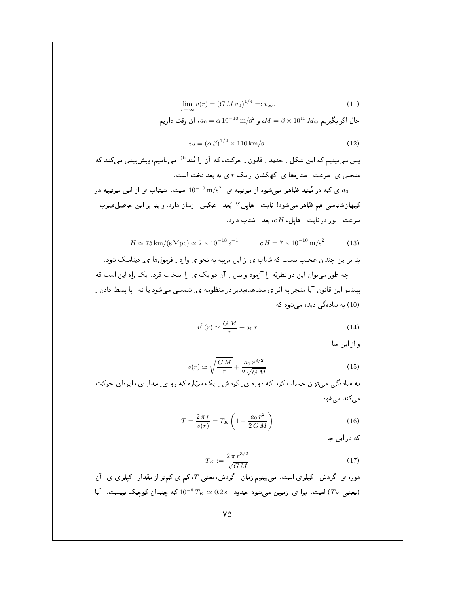$$
\lim_{r \to \infty} v(r) = (GM a_0)^{1/4} =: v_{\infty}.
$$
\n(11)

حال اگر بگیریم  $M_{\odot}$   $M = \beta \times 10^{10}$  ، و  $M = 10^{-10} \, \text{m/s}^2$ ، آن وقت داریم

$$
v_0 = (\alpha \beta)^{1/4} \times 110 \,\mathrm{km/s}.\tag{12}
$$

پس میبینیم که این شکل <sub>-</sub> جدید <sub>-</sub> قانون <sub>-</sub> حرکت، که آن را مُند<sup>6)</sup> مینامیم، پیشبینی میکند که منحنی ی ِ سرعت ِ ستارهها ی ِ کهکشان از یک  $r$  ی به بعد تخت است.

ی که در مُند ظاهر میشود از مرتبه ی 2 $\rm m/s^2$   $\rm m/s^2$  است. شتاب ی از این مرتبه در ۵۰ م کیهانشناسی هم ظاهر میشود! ثابت ِ هابل<sup>60</sup> بُعد ِ عکس ِ زمان دارد، و بنا بر این حاصل ضرب ِ ِ سرعت ِ نور در ثابت ِ هابل،  $c\, H$ ، بعد ِ شتاب دارد.

$$
H \simeq 75 \,\mathrm{km/(s\,Mpc)} \simeq 2 \times 10^{-18} \,\mathrm{s}^{-1} \qquad c \, H = 7 \times 10^{-10} \,\mathrm{m/s^2} \tag{13}
$$

بنا بر این چندان عجیب نیست که شتاب ی از این مرتبه به نحو ی وارد <sub>-</sub> فرمولها ی ِ دینامیک شود.

چه طور میتوان این دو نظریّه را آزمود و بین ۱ آن دو یک ی را انتخاب کرد . یک راه این است که ببینیم این قانون آیا منجر به اثر ی مشاهدهپذیر در منظومه ی ِ شمسی می شود یا نه . با بسط دادن ِ (10) به سادهگی دیده می شود که

$$
v^2(r) \simeq \frac{GM}{r} + a_0 r \tag{14}
$$

و از این جا

$$
v(r) \simeq \sqrt{\frac{GM}{r}} + \frac{a_0 r^{3/2}}{2\sqrt{GM}}\tag{15}
$$

به سادهگی میتوان حساب کرد که دوره ی ِ گردش ِ یک سپّاره که رو ی ِ مدار ی دایرهای حرکت مے کند مے شود

$$
T = \frac{2\pi r}{v(r)} = T_K \left( 1 - \frac{a_0 r^2}{2GM} \right)
$$
 (16)

که در این جا

$$
T_K := \frac{2\,\pi\,r^{3/2}}{\sqrt{G\,M}}\tag{17}
$$

دورہ ی ِ گردش ِ کِپلِری است. می بینیم زمان ِ گردش، یعنی  $T$ ، کم ی کمتر از مقدار ِ کِپلِری ی ِ آن یعنی  $(T_K)$  است. برا ی ِ زمین میشود حدود و 0.2s  $T_K \simeq 10^{-8}$  که چندان کوچک نیست. آیا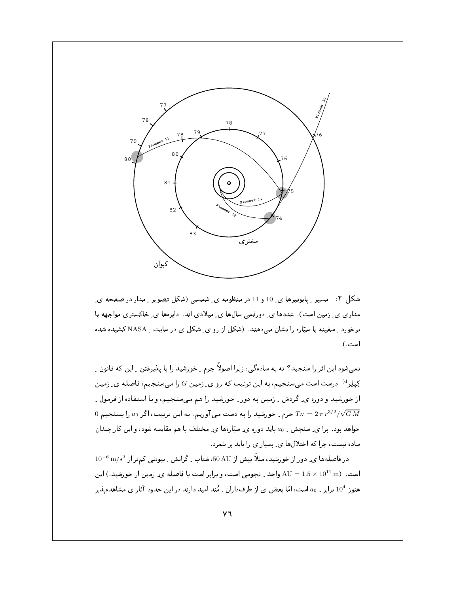

شکل ۲: مسیر پایونیرهای و 10 و 11 در منظومه ی ِشمسی (شکل تصویر ِ مدار در صفحه ی ِ مداری پی زمین است). عددها پی دورقمی سال۱ها پی میلادی اند. دایرهها پی خاکستری مواجهه یا برخورد ـ ِ سفینه با سیّاره را نشان می دهند. (شکل از رو ی ِ شکل ی در سایت \_ NASA کشیده شده است .)

نمبی،شود این اثر را سنجید؟ نه به سادهگی، زیرا اصولاً جرم ِ خورشید را با پذیرفتن ِ این که قانون ِ ِ کِپلِر<sup>4)</sup> درست است میسنجیم، به این ترتیب که رو ی ِ زمین G را میسنجیم، فاصله ی ِ زمین از خورشید و دوره ی ِ گردش ِ ِ زمین به دور ِ خورشید را هم میسنجیم، و با استفاده از فرمول ِ ِ  $0$  جرم ِ خورشید را به دست می آوریم ِ به این ترتیب، اگر  $a_0$  را بسنجیم  $T_K = 2\,\pi\,r^{3/2}/\sqrt{GM}$ خواهد بود . برا ي ِ سنجش ِ ao بايد دوره ي ِ سيّارهها ي ِ مختلف با هم مقايسه شود، و اين كار چندان ساده نیست، چرا که اختلال ها ی ِ بسیار ی را باید بر شمرد.

در فاصلهها ی ِ دور از خورشید، مثلاً بیش از 50 AU، شتاب ِ گرانش ِ نیوتنی کمتر از  $\rm{m/s^2}$  10 $^{-6}$ است. (1011 × 1.5 = AU واحد \_ نجومي است، و برابر است با فاصله ي\_ زمين از خورشيد.) اين هنوز 104 برابر \_ a0 است، امّا بعض ي از طرفداران \_ مُند اميد دارند در اين حدود آثار ي مشاهدهيذير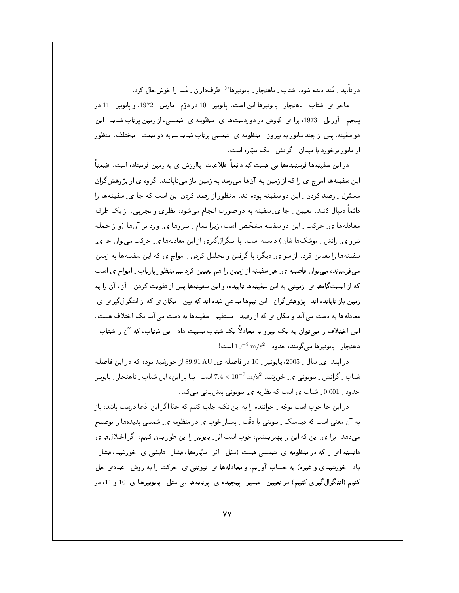در تأیید <sub>-</sub> مُند دیده شود. شتاب <sub>-</sub> ناهنجار <sub>-</sub> پایونیرها<sup>e)</sup> طرفداران <sub>-</sub> مُند را خوش حال کرد.

ماجرا ی ِ شتاب ِ ناهنجار ِ پایونیرها این است. پایونیر ِ 10 در دوّم ِ مارس ِ 1972، و پایونیر ِ 11 در ینجم \_ آوریل \_ 1973، برا ی ِ کاوش در دوردستها ی ِ منظومه ی ِ شمسی ، از زمین پرتاب شدند . این دو سفینه، پس از چند مانور به بیرون \_ منظومه ی\_ شمسی پرتاب شدند ـــ به دو سمت \_ مختلف . منظور از مانور برخورد با میدان <sub>-</sub> گرانش <sub>-</sub> یک سیّاره است.

در این سفینهها فرستندهها پے مست که دائماً اطلاعات باار زش ی به زمین فرستاده است. ضمناً این سفینهها امواج ی را که از زمین به آنها می رسد به زمین باز می تابانند. گروه ی از پژوهش گران مسئول ِ رصد کردن ِ این دو سفینه بوده اند. منظور از رصد کردن این است که جا ی ِ سفینهها را دائماً دنبال کنند. تعیین ِ جا ی ِ سفینه به دو صورت انجام میشود: نظری و تجربی ِ از یک طرف معادلهها ي حركت \_ اين دو سفينه مشخّص است، زيرا تمام \_ نيروها ي ِ وارد بر آنها (و از جمله نیرو ی ِ رانش ِ موشکها شان) دانسته است. با انتگرالگیری از این معادلهها ی ِ حرکت میتوان جا ی ِ سفینهها را تعیین کرد. از سو ی ِ دیگر، با گرفتن و تحلیل کردن ِ امواج ی که این سفینهها به زمین میفرستند، میتوان فاصله ی ِ هر سفینه از زمین را هم تعیین کرد ـــ منظور بازتاب ِ امواج ی است که از ایستگاهها ی ِ زمینی به این سفینهها تابیده، و این سفینهها پس از تقویت کردن ۱ ِ آن، آن را به زمین باز تابانده اند. پژوهشگران ِ این تیمها مدعی شده اند که بین ِ مکان ی که از انتگرال گیری یِ معادلهها به دست می آید و مکان ی که از رصد ـ مستقیم ـ سفینهها به دست می آید یک اختلاف هست. این اختلاف را میتوان به یک نیرو یا معادلاً یک شتاب نسبت داد. این شتاب، که آن را شتاب ِ  $10^{-9}$  ناهنجار \_ پایونیرها می گویند، حدود \_ 2 $\rm m/s^2$  است

در ابتدا ی ِ سال ِ 2005، پایونیر ِ 10 در فاصله ی ِ 89.91 AU از خورشید بوده که در این فاصله شتاب کرانش کیوتونی ی خورشید n  $\sim 7\ {\rm m/s^2}$  است. بنا بر این، این شتاب کاهنجار کیایونیر sشتاب شتاب حدود ِ 0.001 ِ شتاب ی است که نظریه ی ِ نیوتونی پیش بینی می کند.

در این جا خوب است توجّه \_ خواننده را به این نکته جلب کنیم که حتّا اگر این ادّعا درست باشد، باز به آن معنی است که دینامیک ِ نیوتنی با دقّت ِ بِسیارِ خوب ی در منظومه ی ِ شمسی پدیدهها را توضیح میدهد. برا ی ِ این که این را بهتر ببینیم، خوب است اثر ِ پایونیر را این طور بیان کنیم: اگر اختلالها ی دانسته ای را که در منظومه ی ِ شمسی هست (مثل ِ اثر ِ سیّارهها، فشار ِ تابشی ی ِ خورشید، فشار ِ ِ باد \_ خورشيدي و غيره) به حساب آوريم، و معادلهها ي ِ نيوتني ي ِ حركت را به روش \_ عددي حل کنیم (انتگرالگیری کنیم) در تعیین ِ مسیرِ ِ پیچیده ی ِ پرتابهها یی مثل ِ پایونیرها ی ِ 10 و 11، در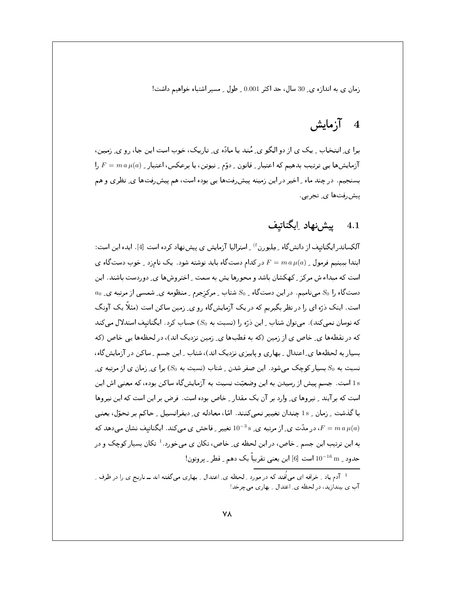زمان ی به اندازه ی 30 سال، حد اکثر 0.001 و طول و مسیر اشتباه خواهیم داشت!

# 4 آزمايش

برا ی ِ انتخاب ِ یک ی از دو الگو ی ِ مُند یا مادّه ی ِ تاریک، خوب است این جا، رو ی ِ زمین، زمایش ها یی ترتیب بدهیم که اعتبار ِ قانون ِ دوّم ِ نیوتن، یا برعکس، اعتبار ِ P =  $m\,a\,\mu(a)$  را $F = m\,a\,\mu(a)$ بسنجیم. در چند ماه ِ اخیر در این زمینه پیش ِرفتها یی بوده است، هم پیش ِرفتها ی ِ نظری و هم پیش رفتها ی ِ تجربی

## 4.1 يش;نهاد اِيگناتيف

آلکساندر ایگناتیف از دانش گاه <sub>-</sub> مِلبورن<sup>۴</sup> <sub>-</sub> استرالیا آزمایش ی پیشنهاد کرده است [4] . ایده این است: ابتدا ببینیم فرمول به  $\mu(a)$  در کدام دستگاه باید نوشته شود. یک نامزد بخوب دستگاه ی است که میداء ش مرکز <sub>ب</sub>ے کھکشان باشد و محورها پش به سمت <sub>ب</sub>اختروشها ی ِ دوردست باشند. این  $a_0$  دستگاه را 50 می نامیم. در این دستگاه ب $S_0$  شتاب بـ مرکزجرم بـ منظومه ی ِ شمسی از مرتبه ی و است. اینک ذرّه ای را در نظر بگیریم که در یک آزمایشگاه رو ی ِ زمین ساکن است (مثلاً یک آونگ که نوسان نمی کند). می توان شتاب - این ذرّه را (نسبت به 50) حساب کرد. ایگناتیف استدلال می کند که در نقطهها ی ِ خاص ی از زمین (که به قطبها ی ِ زمین نزدیک اند)، در لحظهها یی خاص (که بسیار به لحظهها ی ِ اعتدال ِ بهاری ویاییزی نزدیک اند)، شتاب ِ این جسم ِ ساکن در آزمایش گاه، نسبت به 50 بسیار کوچک می شود . این صفر شدن \_ شتاب (نسبت به 50) برا ی\_ زمان ی از مرتبه ی\_ 1s است. جسم پیش از رسیدن به این وضعیّت نسبت به آزمایشگاه ساکن بوده، که معنی اش این است که برآیند \_ نیروها ی\_ وارد بر آن یک مقدار \_ خاص بوده است. فرض بر این است که این نیروها با گذشت <sub>-</sub> زمان <sub>-</sub> 1s چندان تغییر نمیکنند. امّا، معادله ی ِ دیفرانسیل <sub>-</sub> حاکم بر تحوّل، یعنی در مدّت ی ِ از مرتبه ی ِ  $^{-3}$ s تغییر ِ فاحش ی می کند. ایگناتیف نشان می دهد که  $F=m\,a\,\mu(a)$ به این ترتیب این جسم <sub>-</sub> خاص، در این لحظه ی ِ خاص، تکان ی میخورد .<sup>1</sup> تکان بسیار کوچک و در حدود \_  $10^{-16}\,\mathrm{m}$  است  $[6]$  این یعنی تقریباً یک دهم \_ قطر \_ بر وتون!

<sup>&</sup>lt;sup>1</sup> آدم یاد ِ خرافه ای می|فُتد که در مورد ِ لحظه ی ِ اعتدال ِ بهاری میگفته اند ــ نارنج ی را در ظرف ِ آب ی بیندازید، در لحظه ی ِ اعتدال ِ بهاری می چرخد!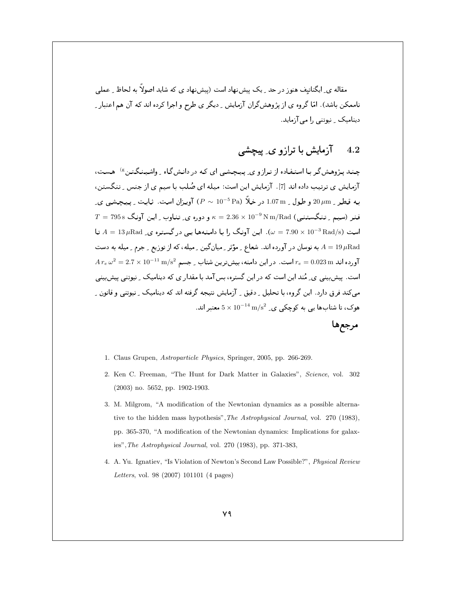مقاله ی ِ ایگناتیف هنوز در حد ِ یک پیش;بهاد است (پیش;بهاد ی که شاید اصولاً به لحاظ ِ عملی ناممکن باشد). امّا گروه ی از پژوهشگران آزمایش ِ دیگر ی طرح و اجرا کرده اند که آن هم اعتبار ِ دینامیک ِ نیوتنی را می آزماید.

#### آزمایش یا ترازو ی پیچشی  $4.2$

چند پژوهش گر با استفاده از ترازو ی پیچشی ای که در دانش گاه <sub>به</sub> واشینگتن <sup>8)</sup> هست، آزمایش ی ترتیب داده اند [7]. آزمایش این است: میله ای صُلب با سیم ی از جنس ِ تنگستن، به قطر <sub>-</sub> 20 µm و طول <sub>-</sub> 1.07 m در خلاً (P ~ 10<sup>-5</sup> Pa) آویزان است. ثابت <sub>-</sub> پیچشی ی  $T = 795\,\text{s}$  فنر (سیم ِ تنگستنبی)  $\kappa = 2.36\times10^{-9}\,\text{N}\,\text{m}/\text{Rad}$  (میم ِ تنگستنبی  $A = 13 \,\mu\text{Rad/s}$  است ( $\omega = 7.90 \times 10^{-3} \,\text{Rad/s}$ ). این آونگ را با دامنهها یی در گستره ی A = 13 به نوسان در آورده اند. شعاع ـِ مؤثر ـِ ميان گين ـِ ميله، كه از توزيع ـِ جرم ـِ ميله به دست  $A=19\,\mu\mathrm{Rad}$  $A\,r_e\,\omega^2 = 2.7\times 10^{-11}\,\text{m/s}^2$  آورده اند  $r_e = 0.023\,\text{m}$ است. در این دامنه، بیش ترین شتاب ِ جسم است. پیش بینی ی ِ مُند این است که در این گستره، بس آمد با مقدار ی که دینامیک ِ نیوتنی پیش بینی می کند فرق دارد. این گروه، با تحلیل ِ دقیق ِ آزمایش نتیجه گرفته اند که دینامیک ِ نیوتنی و قانون ِ ِ هوک، تا شتابها یی به کوچکی ی  $\rm \,m/s^2 \,$   $\rm \,K\,10^{-14} \,m/s^2$  معتبر اند.

مرجعها

- 1. Claus Grupen, *Astroparticle Physics*, Springer, 2005, pp. 266-269.
- 2. Ken C. Freeman, "The Hunt for Dark Matter in Galaxies", Science, vol. 302  $(2003)$  no. 5652, pp. 1902-1903.
- 3. M. Milgrom, "A modification of the Newtonian dynamics as a possible alternative to the hidden mass hypothesis", The Astrophysical Journal, vol. 270 (1983), pp. 365-370, "A modification of the Newtonian dynamics: Implications for galaxies", The Astrophysical Journal, vol. 270 (1983), pp. 371-383,
- 4. A. Yu. Ignatiev, "Is Violation of Newton's Second Law Possible?", *Physical Review* Letters, vol. 98 (2007) 101101 (4 pages)